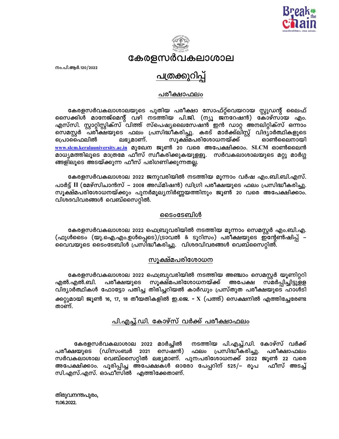



## കേരളസർവകലാശാല

നം.പി.ആർ.120/2022

# പ<u>ത്രക്കുറിപ്പ</u>്

#### പരീക്ഷാഫലം

കേരളസർവകലാശാലയുടെ പുതിയ പരീക്ഷാ സോഫ്റ്റ്വെയറായ സ്റ്റുഡന്റ് ലൈഫ് സൈക്കിൾ മാനേജ്മെന്റ് വഴി നടത്തിയ പി.ജി. (ന്യൂ ജനറേഷൻ) കോഴ്സായ എം. എസ്സി. സ്റ്റാറ്റിസ്റ്റിക്സ് വിത്ത് സ്പെഷ്യലൈസേഷൻ ഇൻ ഡാറ്റ അനലിറ്റിക്സ് ഒന്നാം സെമസ്റ്റർ പരീക്ഷയുടെ ഫലം പ്രസിദ്ധീകരിച്ചു. കരട് മാർക്ക്ലിസ്റ്റ് വിദ്യാർത്ഥികളുടെ സൂക്ഷ്മപരിശോധനയ്ക്ക് പ്രൊഫൈലിൽ ഓൺലൈനായി ലഭ്യമാണ്. www.slcm.keralauniversity.ac.in മുഖേന ജൂൺ 20 വരെ അപേക്ഷിക്കാം. SLCM ഓൺലൈൻ മാധ്യമത്തിലൂടെ മാത്രമേ ഫീസ് സ്വീകരിക്കുകയുളളൂ. സർവകലാശാലയുടെ മറ്റു മാർഗ്ഗ ങ്ങളിലൂടെ അടയ്ക്കുന്ന ഫീസ് പരിഗണിക്കുന്നതല്ല.

കേരളസർവകലാശാല 2022 ജനുവരിയിൽ നടത്തിയ മൂന്നാം വർഷ എം.ബി.ബി.എസ്. പാർട്ട് II (മേഴ്സിചാൻസ് – 2008 അഡ്മിഷൻ) ഡിഗ്രി പരീക്ഷയുടെ ഫലം പ്രസിദ്ധീകരിച്ചു. സൂക്ഷ്മപരിശോധനയ്ക്കും പുനർമൂല്യനിർണ്ണയത്തിനും ജൂൺ 20 വരെ അപേക്ഷിക്കാം. വിശദവിവരങ്ങൾ വെബ്സൈറ്റിൽ.

#### ടൈംടേബിൾ

കേരളസർവകലാശാല 2022 ഫെബ്രുവരിയിൽ നടത്തിയ മൂന്നാം സെമസ്റ്റർ എം.ബി.എ. (ഫുൾടൈം (യു.ഐ.എം.ഉൾപ്പെടെ)/ട്രാവൽ & ടൂറിസം) പരിക്ഷയുടെ ഇ്ന്റേൺഷിപ്പ് – വൈവയുടെ ടൈംടേബിൾ പ്രസിിദ്ധീകരിച്ചു. വിശദവിവരങ്ങൾ വെബ്സൈറ്റിൽ്.

#### സൂക്ഷ്മപരിശോധന

കേരളസർവകലാശാല 2022 ഫെബ്രുവരിയിൽ നടത്തിയ അഞ്ചാം സെമസ്റ്റർ യൂണിറ്ററി സൂക്ഷ്മപരിശോധനയ്ക്ക് പരീക്ഷയുടെ എൽ.എൽ.ബി. അപേക്ഷ സമർപ്പിച്ചിട്ടുളള വിദ്യാർത്ഥികൾ ഫോട്ടോ പതിച്ച തിരിച്ചറിയൽ കാർഡും പ്രസ്തുത പരീക്ഷയുടെ ഹാൾടി ക്കറ്റുമായി ജൂൺ 16, 17, 18 തീയതികളിൽ ഇ.ജെ. –  ${\rm X}$  (പത്ത്) സെക്ഷനിൽ എത്തിച്ചേരേണ്ട താണ്.

### പി.എച്ച്.ഡി. കോഴ്സ് വർക്ക് പരീക്ഷാഫലം

കേരളസർവകലാശാല 2022 മാർച്ചിൽ നടത്തിയ പി.എച്ച്.ഡി. കോഴ്സ് വർക്ക് (ഡിസംബർ 2021 സെഷൻ) പരീക്ഷയുടെ ഫലം പ്രസിദ്ധീകരിച്ചു. പരീക്ഷാഫലം സർവകലാശാല വെബ്സൈറ്റിൽ ലഭ്യമാണ്. പുന:പരിശോധനക്ക് 2022 ജൂൺ 22 വരെ അപേക്ഷിക്കാം. പൂരിപ്പിച്ച അപേക്ഷകൾ ഓരോ പേപ്പറിന് 525/– രൂപ ഫീസ് അടച്ച് സി.എസ്.എസ്. ഓഫീസിൽ എത്തിക്കേതാണ്.

തിരുവനന്തപുരം, 11.06.2022.